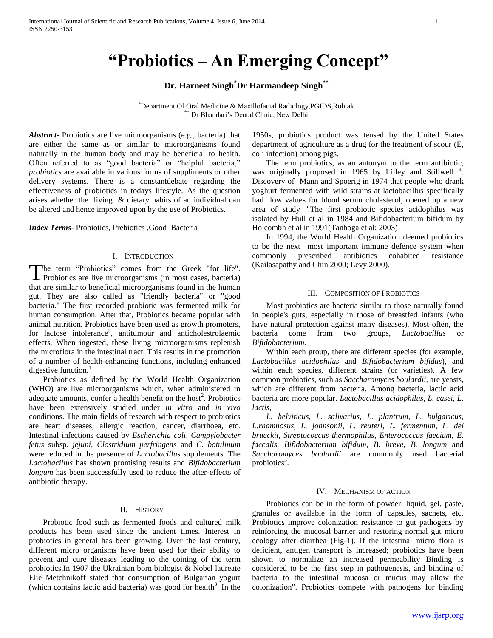# **"Probiotics – An Emerging Concept"**

## **Dr. Harneet Singh\*Dr Harmandeep Singh\*\***

\*Department Of Oral Medicine & Maxillofacial Radiology,PGIDS,Rohtak \*\* Dr Bhandari's Dental Clinic, New Delhi

*Abstract***-** Probiotics are live microorganisms (e.g., bacteria) that are either the same as or similar to microorganisms found naturally in the human body and may be beneficial to health. Often referred to as "good bacteria" or "helpful bacteria," *probiotics* are available in various forms of suppliments or other delivery systems. There is a constantdebate regarding the effectiveness of probiotics in todays lifestyle. As the question arises whether the living & dietary habits of an individual can be altered and hence improved upon by the use of Probiotics.

#### *Index Terms*- Probiotics, Prebiotics ,Good Bacteria

#### I. INTRODUCTION

he term "Probiotics" comes from the Greek "for life". The term "Probiotics" comes from the Greek "for life".<br>Probiotics are live microorganisms (in most cases, bacteria) that are similar to beneficial microorganisms found in the human gut. They are also called as "friendly bacteria" or "good bacteria." The first recorded probiotic was fermented milk for human consumption. After that, Probiotics became popular with animal nutrition. Probiotics have been used as growth promoters, for lactose intolerance<sup>3</sup>, antitumour and anticholestrolaemic effects. When ingested, these living microorganisms replenish the microflora in the intestinal tract. This results in the promotion of a number of health-enhancing functions, including enhanced digestive function. $<sup>1</sup>$ </sup>

 Probiotics as defined by the World Health Organization (WHO) are live microorganisms which, when administered in adequate amounts, confer a health benefit on the host<sup>2</sup>. Probiotics have been extensively studied under *in vitro* and *in vivo*  conditions. The main fields of research with respect to probiotics are heart diseases, allergic reaction, cancer, diarrhoea, etc. Intestinal infections caused by *Escherichia coli*, *Campylobacter fetus* subsp. *jejuni*, *Clostridium perfringens* and *C. botulinum*  were reduced in the presence of *Lactobacillus* supplements. The *Lactobacillus* has shown promising results and *Bifidobacterium longum* has been successfully used to reduce the after-effects of antibiotic therapy.

### II. HISTORY

 Probiotic food such as fermented foods and cultured milk products has been used since the ancient times. Interest in probiotics in general has been growing. Over the last century, different micro organisms have been used for their ability to prevent and cure diseases leading to the coining of the term probiotics.In 1907 the Ukrainian born biologist & Nobel laureate Elie Metchnikoff stated that consumption of Bulgarian yogurt (which contains lactic acid bacteria) was good for health<sup>3</sup>. In the

1950s, probiotics product was tensed by the United States department of agriculture as a drug for the treatment of scour (E, coli infection) among pigs.

 The term probiotics, as an antonym to the term antibiotic, was originally proposed in 1965 by Lilley and Stillwell<sup>4</sup>. Discovery of Mann and Spoerig in 1974 that people who drank yoghurt fermented with wild strains at lactobacillus specifically had low values for blood serum cholesterol, opened up a new area of study <sup>5</sup>. The first probiotic species acidophilus was isolated by Hull et al in 1984 and Bifidobacterium bifidum by Holcombh et al in 1991(Tanboga et al; 2003)

 In 1994, the World Health Organization deemed probiotics to be the next most important immune defence system when commonly prescribed antibiotics cohabited resistance (Kailasapathy and Chin 2000; Levy 2000).

#### III. COMPOSITION OF PROBIOTICS

 Most probiotics are bacteria similar to those naturally found in people's guts, especially in those of breastfed infants (who have natural protection against many diseases). Most often, the bacteria come from two groups, *Lactobacillus* or *Bifidobacterium*.

 Within each group, there are different species (for example, *Lactobacillus acidophilus* and *Bifidobacterium bifidus*), and within each species, different strains (or varieties). A few common probiotics, such as *Saccharomyces boulardii*, are yeasts, which are different from bacteria. Among bacteria, lactic acid bacteria are more popular. *Lactobacillus acidophilus*, *L. casei*, *L. lactis*,

 *L. helviticus*, *L. salivarius*, *L. plantrum*, *L. bulgaricus*, *L.rhamnosus*, *L. johnsonii*, *L. reuteri*, *L. fermentum*, *L. del brueckii*, *Streptococcus thermophilus*, *Enterococcus faecium*, *E. faecalis*, *Bifidobacterium bifidum*, *B. breve*, *B. longum* and *Saccharomyces boulardii* are commonly used bacterial probiotics<sup>5</sup>.

## IV. MECHANISM OF ACTION

 Probiotics can be in the form of powder, liquid, gel, paste, granules or available in the form of capsules, sachets, etc. Probiotics improve colonization resistance to gut pathogens by reinforcing the mucosal barrier and restoring normal gut micro ecology after diarrhea (Fig-1). If the intestinal micro flora is deficient, antigen transport is increased; probiotics have been shown to normalize an increased permeability Binding is considered to be the first step in pathogenesis, and binding of bacteria to the intestinal mucosa or mucus may allow the colonization". Probiotics compete with pathogens for binding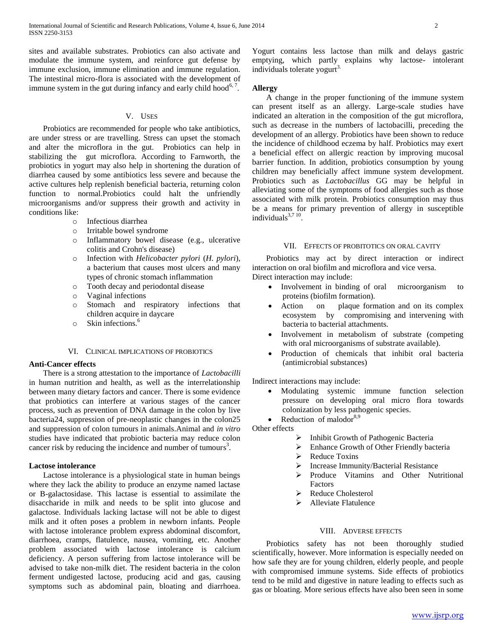sites and available substrates. Probiotics can also activate and modulate the immune system, and reinforce gut defense by immune exclusion, immune elimination and immune regulation. The intestinal micro-flora is associated with the development of immune system in the gut during infancy and early child hood<sup>6,7</sup>.

#### V. USES

 Probiotics are recommended for people who take antibiotics, are under stress or are travelling. Stress can upset the stomach and alter the microflora in the gut. Probiotics can help in stabilizing the gut microflora. According to Farnworth, the probiotics in yogurt may also help in shortening the duration of diarrhea caused by some antibiotics less severe and because the active cultures help replenish beneficial bacteria, returning colon function to normal.Probiotics could halt the unfriendly microorganisms and/or suppress their growth and activity in conditions like:

- o Infectious diarrhea
- o Irritable bowel syndrome
- o Inflammatory bowel disease (e.g., ulcerative colitis and Crohn's disease)
- o Infection with *Helicobacter pylori* (*H. pylori*), a bacterium that causes most ulcers and many types of chronic stomach inflammation
- o Tooth decay and periodontal disease
- o Vaginal infections
- o Stomach and respiratory infections that children acquire in daycare
- $\circ$  Skin infections.<sup>6</sup>

#### VI. CLINICAL IMPLICATIONS OF PROBIOTICS

## **Anti-Cancer effects**

 There is a strong attestation to the importance of *Lactobacilli*  in human nutrition and health, as well as the interrelationship between many dietary factors and cancer. There is some evidence that probiotics can interfere at various stages of the cancer process, such as prevention of DNA damage in the colon by live bacteria24, suppression of pre-neoplastic changes in the colon25 and suppression of colon tumours in animals.Animal and *in vitro*  studies have indicated that probiotic bacteria may reduce colon cancer risk by reducing the incidence and number of tumours<sup>3</sup>.

#### **Lactose intolerance**

 Lactose intolerance is a physiological state in human beings where they lack the ability to produce an enzyme named lactase or B-galactosidase. This lactase is essential to assimilate the disaccharide in milk and needs to be split into glucose and galactose. Individuals lacking lactase will not be able to digest milk and it often poses a problem in newborn infants. People with lactose intolerance problem express abdominal discomfort, diarrhoea, cramps, flatulence, nausea, vomiting, etc. Another problem associated with lactose intolerance is calcium deficiency. A person suffering from lactose intolerance will be advised to take non-milk diet. The resident bacteria in the colon ferment undigested lactose, producing acid and gas, causing symptoms such as abdominal pain, bloating and diarrhoea.

Yogurt contains less lactose than milk and delays gastric emptying, which partly explains why lactose- intolerant individuals tolerate yogurt<sup>3.</sup>

## **Allergy**

 A change in the proper functioning of the immune system can present itself as an allergy. Large-scale studies have indicated an alteration in the composition of the gut microflora, such as decrease in the numbers of lactobacilli, preceding the development of an allergy. Probiotics have been shown to reduce the incidence of childhood eczema by half. Probiotics may exert a beneficial effect on allergic reaction by improving mucosal barrier function. In addition, probiotics consumption by young children may beneficially affect immune system development. Probiotics such as *Lactobacillus* GG may be helpful in alleviating some of the symptoms of food allergies such as those associated with milk protein. Probiotics consumption may thus be a means for primary prevention of allergy in susceptible individuals $3,710$ .

#### VII. EFFECTS OF PROBITOTICS ON ORAL CAVITY

 Probiotics may act by direct interaction or indirect interaction on oral biofilm and microflora and vice versa.

Direct interaction may include:

- Involvement in binding of oral microorganism to proteins (biofilm formation).
- Action on plaque formation and on its complex ecosystem by compromising and intervening with bacteria to bacterial attachments.
- Involvement in metabolism of substrate (competing with oral microorganisms of substrate available).
- Production of chemicals that inhibit oral bacteria (antimicrobial substances)

Indirect interactions may include:

- Modulating systemic immune function selection pressure on developing oral micro flora towards colonization by less pathogenic species.
- Reduction of malodor<sup>8,9</sup>

Other effects

- > Inhibit Growth of Pathogenic Bacteria
- $\triangleright$  Enhance Growth of Other Friendly bacteria
- P Reduce Toxins
- > Increase Immunity/Bacterial Resistance
- > Produce Vitamins and Other Nutritional Factors
- Reduce Cholesterol
- $\blacktriangleright$  Alleviate Flatulence

#### VIII. ADVERSE EFFECTS

 Probiotics safety has not been thoroughly studied scientifically, however. More information is especially needed on how safe they are for young children, elderly people, and people with compromised immune systems. Side effects of probiotics tend to be mild and digestive in nature leading to effects such as gas or bloating. More serious effects have also been seen in some